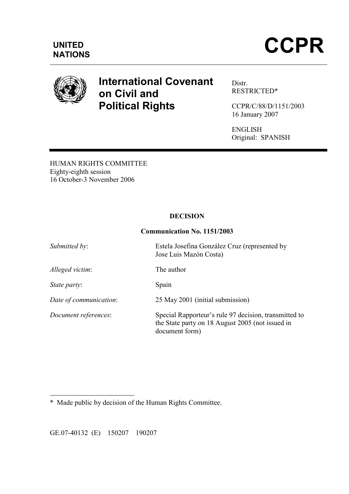

# International Covenant on Civil and Political Rights

Distr. RESTRICTED\*

CCPR/C/88/D/1151/2003 16 January 2007

ENGLISH Original: SPANISH

HUMAN RIGHTS COMMITTEE Eighty-eighth session 16 October-3 November 2006

# DECISION

## Communication No. 1151/2003

| Submitted by:          | Estela Josefina González Cruz (represented by<br>Jose Luis Mazón Costa)                                                     |
|------------------------|-----------------------------------------------------------------------------------------------------------------------------|
| Alleged victim:        | The author                                                                                                                  |
| <i>State party:</i>    | Spain                                                                                                                       |
| Date of communication: | 25 May 2001 (initial submission)                                                                                            |
| Document references:   | Special Rapporteur's rule 97 decision, transmitted to<br>the State party on 18 August 2005 (not issued in<br>document form) |

 $\overline{a}$ \* Made public by decision of the Human Rights Committee.

GE.07-40132 (E) 150207 190207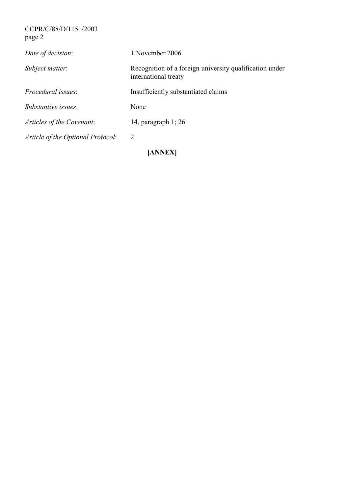## CCPR/C/88/D/1151/2003 page 2

| Article of the Optional Protocol: | 2                                                                               |
|-----------------------------------|---------------------------------------------------------------------------------|
| Articles of the Covenant:         | 14, paragraph $1$ ; 26                                                          |
| Substantive issues:               | None                                                                            |
| <i>Procedural issues:</i>         | Insufficiently substantiated claims                                             |
| Subject matter:                   | Recognition of a foreign university qualification under<br>international treaty |
| Date of decision:                 | 1 November 2006                                                                 |
|                                   |                                                                                 |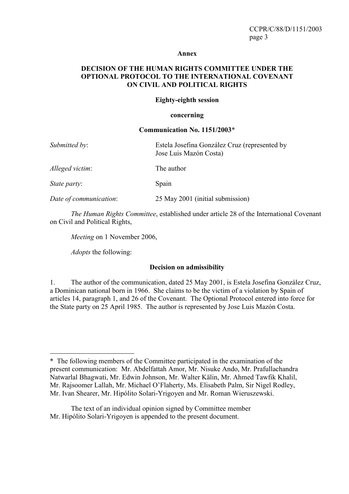#### Annex

## DECISION OF THE HUMAN RIGHTS COMMITTEE UNDER THE OPTIONAL PROTOCOL TO THE INTERNATIONAL COVENANT ON CIVIL AND POLITICAL RIGHTS

#### Eighty-eighth session

#### concerning

#### Communication No. 1151/2003\*

| Submitted by:          | Estela Josefina González Cruz (represented by<br>Jose Luis Mazón Costa) |
|------------------------|-------------------------------------------------------------------------|
| Alleged victim:        | The author                                                              |
| <i>State party:</i>    | Spain                                                                   |
| Date of communication: | 25 May 2001 (initial submission)                                        |

The Human Rights Committee, established under article 28 of the International Covenant on Civil and Political Rights,

Meeting on 1 November 2006,

Adopts the following:

#### Decision on admissibility

1. The author of the communication, dated 25 May 2001, is Estela Josefina González Cruz, a Dominican national born in 1966. She claims to be the victim of a violation by Spain of articles 14, paragraph 1, and 26 of the Covenant. The Optional Protocol entered into force for the State party on 25 April 1985. The author is represented by Jose Luis Mazón Costa.

 $\overline{a}$ \* The following members of the Committee participated in the examination of the present communication: Mr. Abdelfattah Amor, Mr. Nisuke Ando, Mr. Prafullachandra Natwarlal Bhagwati, Mr. Edwin Johnson, Mr. Walter Kälin, Mr. Ahmed Tawfik Khalil, Mr. Rajsoomer Lallah, Mr. Michael O'Flaherty, Ms. Elisabeth Palm, Sir Nigel Rodley, Mr. Ivan Shearer, Mr. Hipólito Solari-Yrigoyen and Mr. Roman Wieruszewski.

The text of an individual opinion signed by Committee member Mr. Hipólito Solari-Yrigoyen is appended to the present document.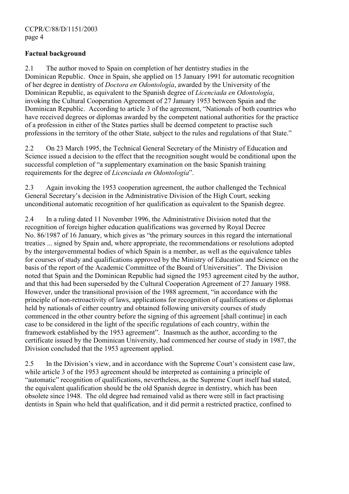## Factual background

2.1 The author moved to Spain on completion of her dentistry studies in the Dominican Republic. Once in Spain, she applied on 15 January 1991 for automatic recognition of her degree in dentistry of Doctora en Odontología, awarded by the University of the Dominican Republic, as equivalent to the Spanish degree of Licenciada en Odontología, invoking the Cultural Cooperation Agreement of 27 January 1953 between Spain and the Dominican Republic. According to article 3 of the agreement, "Nationals of both countries who have received degrees or diplomas awarded by the competent national authorities for the practice of a profession in either of the States parties shall be deemed competent to practise such professions in the territory of the other State, subject to the rules and regulations of that State."

2.2 On 23 March 1995, the Technical General Secretary of the Ministry of Education and Science issued a decision to the effect that the recognition sought would be conditional upon the successful completion of "a supplementary examination on the basic Spanish training requirements for the degree of *Licenciada en Odontología*".

2.3 Again invoking the 1953 cooperation agreement, the author challenged the Technical General Secretary's decision in the Administrative Division of the High Court, seeking unconditional automatic recognition of her qualification as equivalent to the Spanish degree.

2.4 In a ruling dated 11 November 1996, the Administrative Division noted that the recognition of foreign higher education qualifications was governed by Royal Decree No. 86/1987 of 16 January, which gives as "the primary sources in this regard the international treaties ... signed by Spain and, where appropriate, the recommendations or resolutions adopted by the intergovernmental bodies of which Spain is a member, as well as the equivalence tables for courses of study and qualifications approved by the Ministry of Education and Science on the basis of the report of the Academic Committee of the Board of Universities". The Division noted that Spain and the Dominican Republic had signed the 1953 agreement cited by the author, and that this had been superseded by the Cultural Cooperation Agreement of 27 January 1988. However, under the transitional provision of the 1988 agreement, "in accordance with the principle of non-retroactivity of laws, applications for recognition of qualifications or diplomas held by nationals of either country and obtained following university courses of study commenced in the other country before the signing of this agreement [shall continue] in each case to be considered in the light of the specific regulations of each country, within the framework established by the 1953 agreement". Inasmuch as the author, according to the certificate issued by the Dominican University, had commenced her course of study in 1987, the Division concluded that the 1953 agreement applied.

2.5 In the Division's view, and in accordance with the Supreme Court's consistent case law, while article 3 of the 1953 agreement should be interpreted as containing a principle of "automatic" recognition of qualifications, nevertheless, as the Supreme Court itself had stated, the equivalent qualification should be the old Spanish degree in dentistry, which has been obsolete since 1948. The old degree had remained valid as there were still in fact practising dentists in Spain who held that qualification, and it did permit a restricted practice, confined to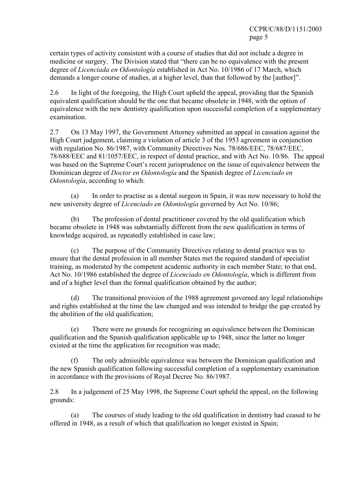certain types of activity consistent with a course of studies that did not include a degree in medicine or surgery. The Division stated that "there can be no equivalence with the present degree of *Licenciada en Odontología* established in Act No. 10/1986 of 17 March, which demands a longer course of studies, at a higher level, than that followed by the [author]".

2.6 In light of the foregoing, the High Court upheld the appeal, providing that the Spanish equivalent qualification should be the one that became obsolete in 1948, with the option of equivalence with the new dentistry qualification upon successful completion of a supplementary examination.

2.7 On 13 May 1997, the Government Attorney submitted an appeal in cassation against the High Court judgement, claiming a violation of article 3 of the 1953 agreement in conjunction with regulation No. 86/1987, with Community Directives Nos. 78/686/EEC, 78/687/EEC, 78/688/EEC and 81/1057/EEC, in respect of dental practice, and with Act No. 10/86. The appeal was based on the Supreme Court's recent jurisprudence on the issue of equivalence between the Dominican degree of *Doctor en Odontología* and the Spanish degree of *Licenciado en* Odontología, according to which:

In order to practise as a dental surgeon in Spain, it was now necessary to hold the new university degree of Licenciado en Odontología governed by Act No. 10/86;

 (b) The profession of dental practitioner covered by the old qualification which became obsolete in 1948 was substantially different from the new qualification in terms of knowledge acquired, as repeatedly established in case law;

 (c) The purpose of the Community Directives relating to dental practice was to ensure that the dental profession in all member States met the required standard of specialist training, as moderated by the competent academic authority in each member State; to that end, Act No. 10/1986 established the degree of *Licenciado en Odontología*, which is different from and of a higher level than the formal qualification obtained by the author;

 (d) The transitional provision of the 1988 agreement governed any legal relationships and rights established at the time the law changed and was intended to bridge the gap created by the abolition of the old qualification;

 (e) There were no grounds for recognizing an equivalence between the Dominican qualification and the Spanish qualification applicable up to 1948, since the latter no longer existed at the time the application for recognition was made;

 (f) The only admissible equivalence was between the Dominican qualification and the new Spanish qualification following successful completion of a supplementary examination in accordance with the provisions of Royal Decree No. 86/1987.

2.8 In a judgement of 25 May 1998, the Supreme Court upheld the appeal, on the following grounds:

 (a) The courses of study leading to the old qualification in dentistry had ceased to be offered in 1948, as a result of which that qualification no longer existed in Spain;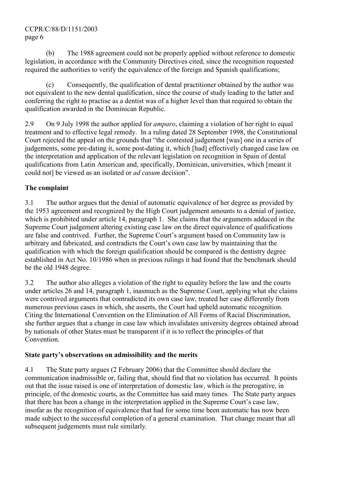## CCPR/C/88/D/1151/2003 page 6

 (b) The 1988 agreement could not be properly applied without reference to domestic legislation, in accordance with the Community Directives cited, since the recognition requested required the authorities to verify the equivalence of the foreign and Spanish qualifications;

 (c) Consequently, the qualification of dental practitioner obtained by the author was not equivalent to the new dental qualification, since the course of study leading to the latter and conferring the right to practise as a dentist was of a higher level than that required to obtain the qualification awarded in the Dominican Republic.

2.9 On 9 July 1998 the author applied for amparo, claiming a violation of her right to equal treatment and to effective legal remedy. In a ruling dated 28 September 1998, the Constitutional Court rejected the appeal on the grounds that "the contested judgement [was] one in a series of judgements, some pre-dating it, some post-dating it, which [had] effectively changed case law on the interpretation and application of the relevant legislation on recognition in Spain of dental qualifications from Latin American and, specifically, Dominican, universities, which [meant it could not be viewed as an isolated or *ad casum* decision".

# The complaint

3.1 The author argues that the denial of automatic equivalence of her degree as provided by the 1953 agreement and recognized by the High Court judgement amounts to a denial of justice, which is prohibited under article 14, paragraph 1. She claims that the arguments adduced in the Supreme Court judgement altering existing case law on the direct equivalence of qualifications are false and contrived. Further, the Supreme Court's argument based on Community law is arbitrary and fabricated, and contradicts the Court's own case law by maintaining that the qualification with which the foreign qualification should be compared is the dentistry degree established in Act No. 10/1986 when in previous rulings it had found that the benchmark should be the old 1948 degree.

3.2 The author also alleges a violation of the right to equality before the law and the courts under articles 26 and 14, paragraph 1, inasmuch as the Supreme Court, applying what she claims were contrived arguments that contradicted its own case law, treated her case differently from numerous previous cases in which, she asserts, the Court had upheld automatic recognition. Citing the International Convention on the Elimination of All Forms of Racial Discrimination, she further argues that a change in case law which invalidates university degrees obtained abroad by nationals of other States must be transparent if it is to reflect the principles of that **Convention** 

# State party's observations on admissibility and the merits

4.1 The State party argues (2 February 2006) that the Committee should declare the communication inadmissible or, failing that, should find that no violation has occurred. It points out that the issue raised is one of interpretation of domestic law, which is the prerogative, in principle, of the domestic courts, as the Committee has said many times. The State party argues that there has been a change in the interpretation applied in the Supreme Court's case law, insofar as the recognition of equivalence that had for some time been automatic has now been made subject to the successful completion of a general examination. That change meant that all subsequent judgements must rule similarly.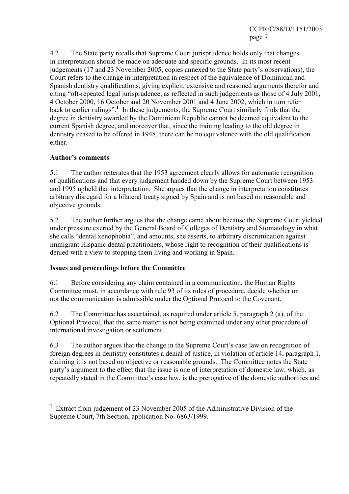4.2 The State party recalls that Supreme Court jurisprudence holds only that changes in interpretation should be made on adequate and specific grounds. In its most recent judgements (17 and 23 November 2005, copies annexed to the State party's observations), the Court refers to the change in interpretation in respect of the equivalence of Dominican and Spanish dentistry qualifications, giving explicit, extensive and reasoned arguments therefor and citing "oft-repeated legal jurisprudence, as reflected in such judgements as those of 4 July 2001, 4 October 2000, 16 October and 20 November 2001 and 4 June 2002, which in turn refer back to earlier rulings".<sup>1</sup> In these judgements, the Supreme Court similarly finds that the degree in dentistry awarded by the Dominican Republic cannot be deemed equivalent to the current Spanish degree, and moreover that, since the training leading to the old degree in dentistry ceased to be offered in 1948, there can be no equivalence with the old qualification either.

## Author's comments

5.1 The author reiterates that the 1953 agreement clearly allows for automatic recognition of qualifications and that every judgement handed down by the Supreme Court between 1953 and 1995 upheld that interpretation. She argues that the change in interpretation constitutes arbitrary disregard for a bilateral treaty signed by Spain and is not based on reasonable and objective grounds.

5.2 The author further argues that the change came about because the Supreme Court yielded under pressure exerted by the General Board of Colleges of Dentistry and Stomatology in what she calls "dental xenophobia", and amounts, she asserts, to arbitrary discrimination against immigrant Hispanic dental practitioners, whose right to recognition of their qualifications is denied with a view to stopping them living and working in Spain.

# Issues and proceedings before the Committee

6.1 Before considering any claim contained in a communication, the Human Rights Committee must, in accordance with rule 93 of its rules of procedure, decide whether or not the communication is admissible under the Optional Protocol to the Covenant.

6.2 The Committee has ascertained, as required under article 5, paragraph 2 (a), of the Optional Protocol, that the same matter is not being examined under any other procedure of international investigation or settlement.

6.3 The author argues that the change in the Supreme Court's case law on recognition of foreign degrees in dentistry constitutes a denial of justice, in violation of article 14, paragraph 1, claiming it is not based on objective or reasonable grounds. The Committee notes the State party's argument to the effect that the issue is one of interpretation of domestic law, which, as repeatedly stated in the Committee's case law, is the prerogative of the domestic authorities and

 $\overline{a}$ <sup>1</sup> Extract from judgement of 23 November 2005 of the Administrative Division of the Supreme Court, 7th Section, application No. 6863/1999.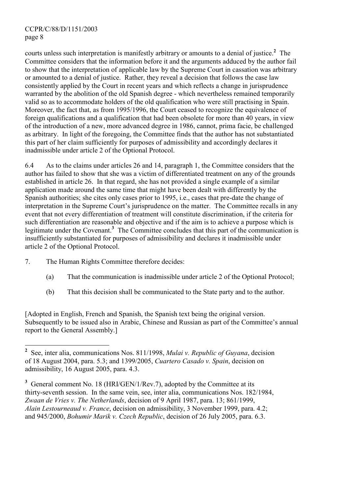courts unless such interpretation is manifestly arbitrary or amounts to a denial of justice.<sup>2</sup> The Committee considers that the information before it and the arguments adduced by the author fail to show that the interpretation of applicable law by the Supreme Court in cassation was arbitrary or amounted to a denial of justice. Rather, they reveal a decision that follows the case law consistently applied by the Court in recent years and which reflects a change in jurisprudence warranted by the abolition of the old Spanish degree - which nevertheless remained temporarily valid so as to accommodate holders of the old qualification who were still practising in Spain. Moreover, the fact that, as from 1995/1996, the Court ceased to recognize the equivalence of foreign qualifications and a qualification that had been obsolete for more than 40 years, in view of the introduction of a new, more advanced degree in 1986, cannot, prima facie, be challenged as arbitrary. In light of the foregoing, the Committee finds that the author has not substantiated this part of her claim sufficiently for purposes of admissibility and accordingly declares it inadmissible under article 2 of the Optional Protocol.

6.4 As to the claims under articles 26 and 14, paragraph 1, the Committee considers that the author has failed to show that she was a victim of differentiated treatment on any of the grounds established in article 26. In that regard, she has not provided a single example of a similar application made around the same time that might have been dealt with differently by the Spanish authorities; she cites only cases prior to 1995, i.e., cases that pre-date the change of interpretation in the Supreme Court's jurisprudence on the matter. The Committee recalls in any event that not every differentiation of treatment will constitute discrimination, if the criteria for such differentiation are reasonable and objective and if the aim is to achieve a purpose which is legitimate under the Covenant.<sup>3</sup> The Committee concludes that this part of the communication is insufficiently substantiated for purposes of admissibility and declares it inadmissible under article 2 of the Optional Protocol.

- 7. The Human Rights Committee therefore decides:
	- (a) That the communication is inadmissible under article 2 of the Optional Protocol;
	- (b) That this decision shall be communicated to the State party and to the author.

[Adopted in English, French and Spanish, the Spanish text being the original version. Subsequently to be issued also in Arabic, Chinese and Russian as part of the Committee's annual report to the General Assembly.]

<sup>&</sup>lt;sup>2</sup> See, inter alia, communications Nos. 811/1998, *Mulai v. Republic of Guyana*, decision of 18 August 2004, para. 5.3; and 1399/2005, Cuartero Casado v. Spain, decision on admissibility, 16 August 2005, para. 4.3.

 $3$  General comment No. 18 (HRI/GEN/1/Rev.7), adopted by the Committee at its thirty-seventh session. In the same vein, see, inter alia, communications Nos. 182/1984, Zwaan de Vries v. The Netherlands, decision of 9 April 1987, para. 13; 861/1999, Alain Lestourneaud v. France, decision on admissibility, 3 November 1999, para. 4.2; and 945/2000, Bohumir Marik v. Czech Republic, decision of 26 July 2005, para. 6.3.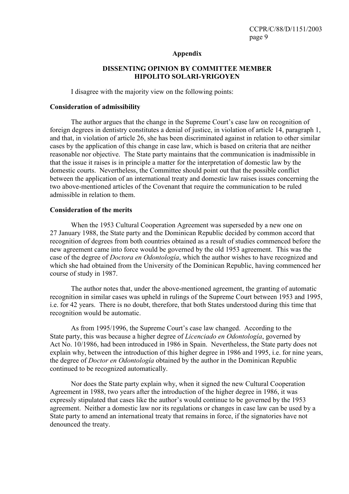### Appendix

## DISSENTING OPINION BY COMMITTEE MEMBER HIPOLITO SOLARI-YRIGOYEN

I disagree with the majority view on the following points:

### Consideration of admissibility

 The author argues that the change in the Supreme Court's case law on recognition of foreign degrees in dentistry constitutes a denial of justice, in violation of article 14, paragraph 1, and that, in violation of article 26, she has been discriminated against in relation to other similar cases by the application of this change in case law, which is based on criteria that are neither reasonable nor objective. The State party maintains that the communication is inadmissible in that the issue it raises is in principle a matter for the interpretation of domestic law by the domestic courts. Nevertheless, the Committee should point out that the possible conflict between the application of an international treaty and domestic law raises issues concerning the two above-mentioned articles of the Covenant that require the communication to be ruled admissible in relation to them.

### Consideration of the merits

 When the 1953 Cultural Cooperation Agreement was superseded by a new one on 27 January 1988, the State party and the Dominican Republic decided by common accord that recognition of degrees from both countries obtained as a result of studies commenced before the new agreement came into force would be governed by the old 1953 agreement. This was the case of the degree of Doctora en Odontología, which the author wishes to have recognized and which she had obtained from the University of the Dominican Republic, having commenced her course of study in 1987.

 The author notes that, under the above-mentioned agreement, the granting of automatic recognition in similar cases was upheld in rulings of the Supreme Court between 1953 and 1995, i.e. for 42 years. There is no doubt, therefore, that both States understood during this time that recognition would be automatic.

 As from 1995/1996, the Supreme Court's case law changed. According to the State party, this was because a higher degree of *Licenciado en Odontología*, governed by Act No. 10/1986, had been introduced in 1986 in Spain. Nevertheless, the State party does not explain why, between the introduction of this higher degree in 1986 and 1995, i.e. for nine years, the degree of Doctor en Odontología obtained by the author in the Dominican Republic continued to be recognized automatically.

 Nor does the State party explain why, when it signed the new Cultural Cooperation Agreement in 1988, two years after the introduction of the higher degree in 1986, it was expressly stipulated that cases like the author's would continue to be governed by the 1953 agreement. Neither a domestic law nor its regulations or changes in case law can be used by a State party to amend an international treaty that remains in force, if the signatories have not denounced the treaty.